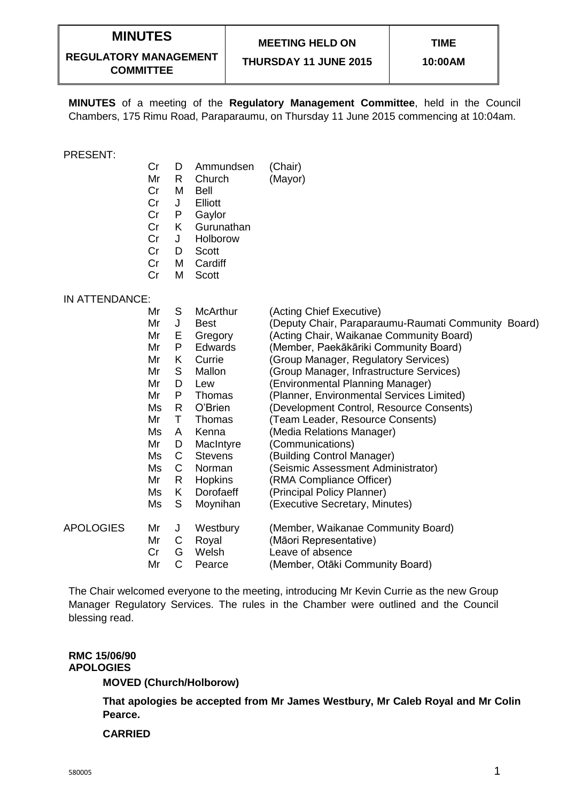# **MINUTES**

# **MEETING HELD ON**

**REGULATORY MANAGEMENT COMMITTEE**

**THURSDAY 11 JUNE 2015**

**MINUTES** of a meeting of the **Regulatory Management Committee**, held in the Council Chambers, 175 Rimu Road, Paraparaumu, on Thursday 11 June 2015 commencing at 10:04am.

#### PRESENT:

- Cr D Ammundsen (Chair)
- Mr R Church (Mayor)
- Cr M Bell
- Cr J Elliott<br>Cr P Gavlot
- Cr P Gaylor
- Cr K Gurunathan
- Cr J Holborow
- Cr D Scott
- Cr M Cardiff
- Cr M Scott

## IN ATTENDANCE:

|                  | Mr | S  | <b>McArthur</b> | (Acting Chief Executive)                            |
|------------------|----|----|-----------------|-----------------------------------------------------|
|                  | Mr | J  | Best            | (Deputy Chair, Paraparaumu-Raumati Community Board) |
|                  | Mr | Е  | Gregory         | (Acting Chair, Waikanae Community Board)            |
|                  | Mr | P  | Edwards         | (Member, Paekākāriki Community Board)               |
|                  | Mr | K  | Currie          | (Group Manager, Regulatory Services)                |
|                  | Mr | S  | Mallon          | (Group Manager, Infrastructure Services)            |
|                  | Mr | D  | Lew             | (Environmental Planning Manager)                    |
|                  | Mr | P  | Thomas          | (Planner, Environmental Services Limited)           |
|                  | Ms | R  | O'Brien         | (Development Control, Resource Consents)            |
|                  | Mr | т  | Thomas          | (Team Leader, Resource Consents)                    |
|                  | Ms | A  | Kenna           | (Media Relations Manager)                           |
|                  | Mr | D  | MacIntyre       | (Communications)                                    |
|                  | Ms | C  | <b>Stevens</b>  | (Building Control Manager)                          |
|                  | Ms | С  | Norman          | (Seismic Assessment Administrator)                  |
|                  | Mr | R  | <b>Hopkins</b>  | (RMA Compliance Officer)                            |
|                  | Ms | K. | Dorofaeff       | (Principal Policy Planner)                          |
|                  | Ms | S  | Moynihan        | (Executive Secretary, Minutes)                      |
| <b>APOLOGIES</b> | Mr | J  | Westbury        | (Member, Waikanae Community Board)                  |
|                  | Mr | C  | Royal           | (Māori Representative)                              |
|                  | Cr | G  | Welsh           | Leave of absence                                    |
|                  | Mr | С  | Pearce          | (Member, Otāki Community Board)                     |

The Chair welcomed everyone to the meeting, introducing Mr Kevin Currie as the new Group Manager Regulatory Services. The rules in the Chamber were outlined and the Council blessing read.

#### **RMC 15/06/90 APOLOGIES**

**MOVED (Church/Holborow)**

**That apologies be accepted from Mr James Westbury, Mr Caleb Royal and Mr Colin Pearce.**

#### **CARRIED**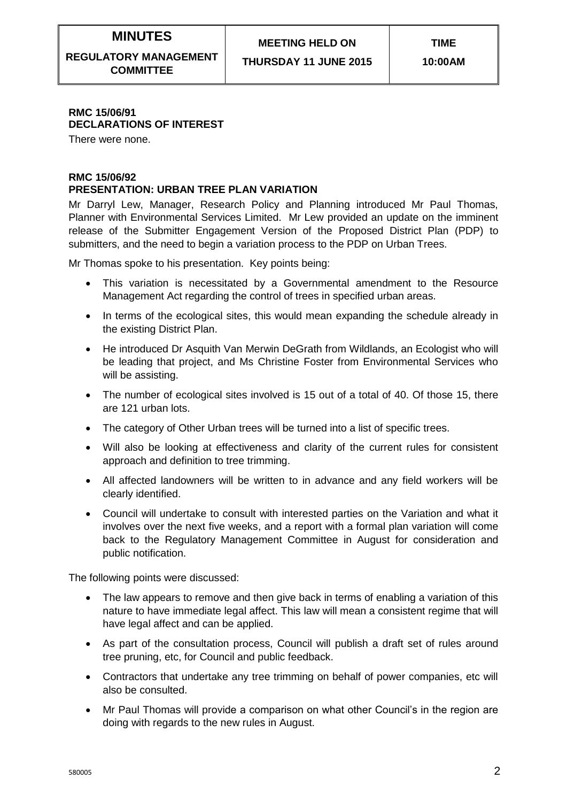# **MINUTES**

**REGULATORY MANAGEMENT COMMITTEE**

**THURSDAY 11 JUNE 2015**

# **RMC 15/06/91 DECLARATIONS OF INTEREST**

There were none.

# **RMC 15/06/92**

# **PRESENTATION: URBAN TREE PLAN VARIATION**

Mr Darryl Lew, Manager, Research Policy and Planning introduced Mr Paul Thomas, Planner with Environmental Services Limited. Mr Lew provided an update on the imminent release of the Submitter Engagement Version of the Proposed District Plan (PDP) to submitters, and the need to begin a variation process to the PDP on Urban Trees.

Mr Thomas spoke to his presentation. Key points being:

- This variation is necessitated by a Governmental amendment to the Resource Management Act regarding the control of trees in specified urban areas.
- In terms of the ecological sites, this would mean expanding the schedule already in the existing District Plan.
- He introduced Dr Asquith Van Merwin DeGrath from Wildlands, an Ecologist who will be leading that project, and Ms Christine Foster from Environmental Services who will be assisting.
- The number of ecological sites involved is 15 out of a total of 40. Of those 15, there are 121 urban lots.
- The category of Other Urban trees will be turned into a list of specific trees.
- Will also be looking at effectiveness and clarity of the current rules for consistent approach and definition to tree trimming.
- All affected landowners will be written to in advance and any field workers will be clearly identified.
- Council will undertake to consult with interested parties on the Variation and what it involves over the next five weeks, and a report with a formal plan variation will come back to the Regulatory Management Committee in August for consideration and public notification.

The following points were discussed:

- The law appears to remove and then give back in terms of enabling a variation of this nature to have immediate legal affect. This law will mean a consistent regime that will have legal affect and can be applied.
- As part of the consultation process, Council will publish a draft set of rules around tree pruning, etc, for Council and public feedback.
- Contractors that undertake any tree trimming on behalf of power companies, etc will also be consulted.
- Mr Paul Thomas will provide a comparison on what other Council's in the region are doing with regards to the new rules in August.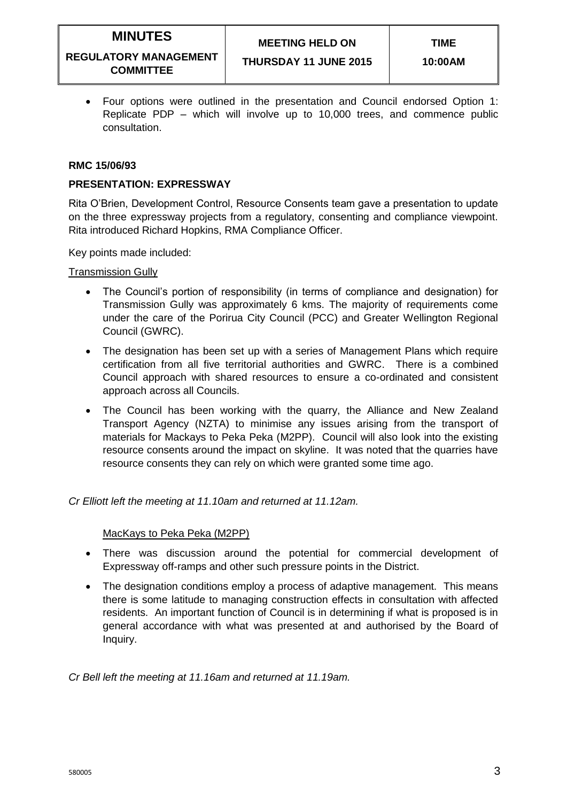# **MEETING HELD ON**

#### **REGULATORY MANAGEMENT COMMITTEE**

 Four options were outlined in the presentation and Council endorsed Option 1: Replicate PDP – which will involve up to 10,000 trees, and commence public consultation.

## **RMC 15/06/93**

# **PRESENTATION: EXPRESSWAY**

Rita O'Brien, Development Control, Resource Consents team gave a presentation to update on the three expressway projects from a regulatory, consenting and compliance viewpoint. Rita introduced Richard Hopkins, RMA Compliance Officer.

Key points made included:

Transmission Gully

- The Council's portion of responsibility (in terms of compliance and designation) for Transmission Gully was approximately 6 kms. The majority of requirements come under the care of the Porirua City Council (PCC) and Greater Wellington Regional Council (GWRC).
- The designation has been set up with a series of Management Plans which require certification from all five territorial authorities and GWRC. There is a combined Council approach with shared resources to ensure a co-ordinated and consistent approach across all Councils.
- The Council has been working with the quarry, the Alliance and New Zealand Transport Agency (NZTA) to minimise any issues arising from the transport of materials for Mackays to Peka Peka (M2PP). Council will also look into the existing resource consents around the impact on skyline. It was noted that the quarries have resource consents they can rely on which were granted some time ago.

*Cr Elliott left the meeting at 11.10am and returned at 11.12am.*

## MacKays to Peka Peka (M2PP)

- There was discussion around the potential for commercial development of Expressway off-ramps and other such pressure points in the District.
- The designation conditions employ a process of adaptive management. This means there is some latitude to managing construction effects in consultation with affected residents. An important function of Council is in determining if what is proposed is in general accordance with what was presented at and authorised by the Board of Inquiry.

*Cr Bell left the meeting at 11.16am and returned at 11.19am.*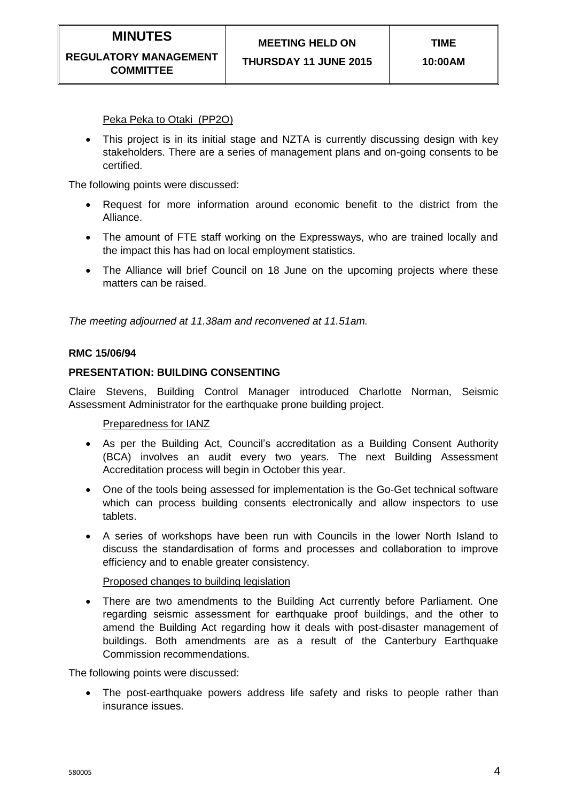Peka Peka to Otaki (PP2O)

• This project is in its initial stage and NZTA is currently discussing design with key stakeholders. There are a series of management plans and on-going consents to be certified.

The following points were discussed:

- Request for more information around economic benefit to the district from the Alliance.
- The amount of FTE staff working on the Expressways, who are trained locally and the impact this has had on local employment statistics.
- The Alliance will brief Council on 18 June on the upcoming projects where these matters can be raised.

*The meeting adjourned at 11.38am and reconvened at 11.51am.*

## **RMC 15/06/94**

## **PRESENTATION: BUILDING CONSENTING**

Claire Stevens, Building Control Manager introduced Charlotte Norman, Seismic Assessment Administrator for the earthquake prone building project.

Preparedness for IANZ

- As per the Building Act, Council's accreditation as a Building Consent Authority (BCA) involves an audit every two years. The next Building Assessment Accreditation process will begin in October this year.
- One of the tools being assessed for implementation is the Go-Get technical software which can process building consents electronically and allow inspectors to use tablets.
- A series of workshops have been run with Councils in the lower North Island to discuss the standardisation of forms and processes and collaboration to improve efficiency and to enable greater consistency.

#### Proposed changes to building legislation

 There are two amendments to the Building Act currently before Parliament. One regarding seismic assessment for earthquake proof buildings, and the other to amend the Building Act regarding how it deals with post-disaster management of buildings. Both amendments are as a result of the Canterbury Earthquake Commission recommendations.

The following points were discussed:

• The post-earthquake powers address life safety and risks to people rather than insurance issues.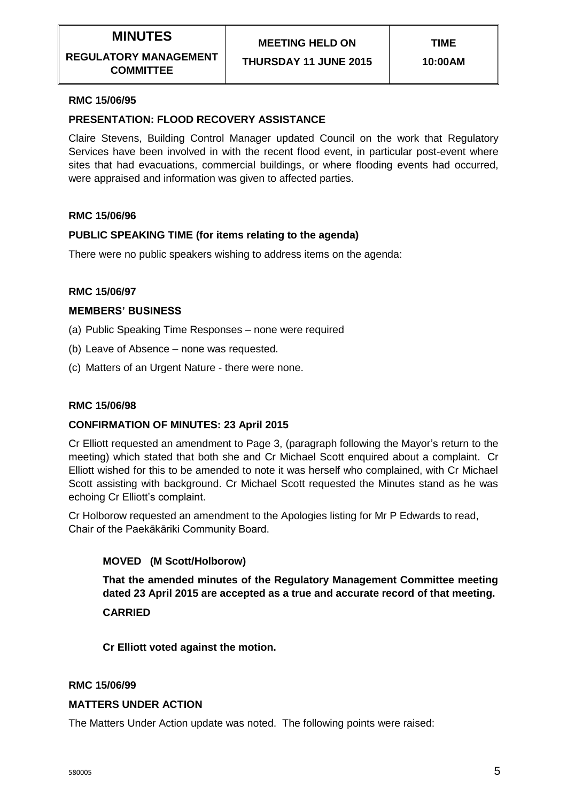**THURSDAY 11 JUNE 2015**

# **RMC 15/06/95**

# **PRESENTATION: FLOOD RECOVERY ASSISTANCE**

Claire Stevens, Building Control Manager updated Council on the work that Regulatory Services have been involved in with the recent flood event, in particular post-event where sites that had evacuations, commercial buildings, or where flooding events had occurred, were appraised and information was given to affected parties.

## **RMC 15/06/96**

## **PUBLIC SPEAKING TIME (for items relating to the agenda)**

There were no public speakers wishing to address items on the agenda:

#### **RMC 15/06/97**

#### **MEMBERS' BUSINESS**

- (a) Public Speaking Time Responses none were required
- (b) Leave of Absence none was requested.
- (c) Matters of an Urgent Nature there were none.

#### **RMC 15/06/98**

## **CONFIRMATION OF MINUTES: 23 April 2015**

Cr Elliott requested an amendment to Page 3, (paragraph following the Mayor's return to the meeting) which stated that both she and Cr Michael Scott enquired about a complaint. Cr Elliott wished for this to be amended to note it was herself who complained, with Cr Michael Scott assisting with background. Cr Michael Scott requested the Minutes stand as he was echoing Cr Elliott's complaint.

Cr Holborow requested an amendment to the Apologies listing for Mr P Edwards to read, Chair of the Paekākāriki Community Board.

## **MOVED (M Scott/Holborow)**

**That the amended minutes of the Regulatory Management Committee meeting dated 23 April 2015 are accepted as a true and accurate record of that meeting. CARRIED**

**Cr Elliott voted against the motion.**

#### **RMC 15/06/99**

#### **MATTERS UNDER ACTION**

The Matters Under Action update was noted. The following points were raised: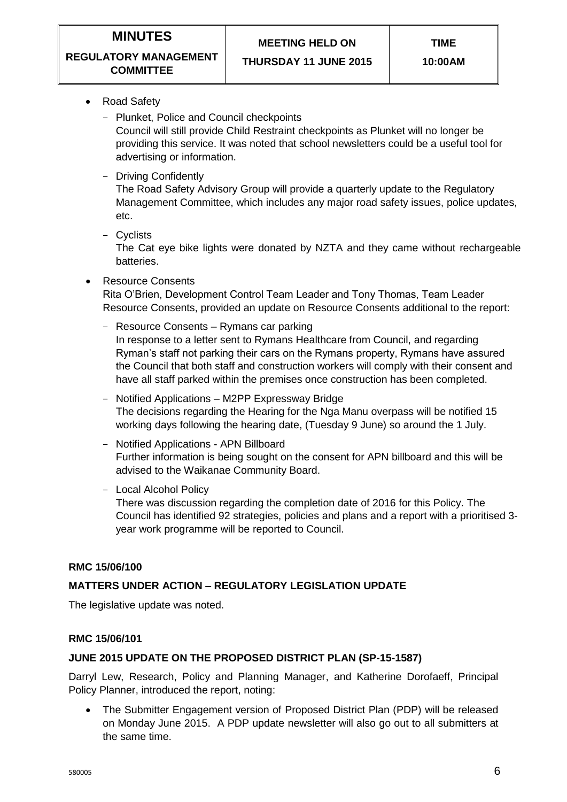**TIME**

#### **REGULATORY MANAGEMENT COMMITTEE**

**THURSDAY 11 JUNE 2015**

- Road Safety
	- Plunket, Police and Council checkpoints

Council will still provide Child Restraint checkpoints as Plunket will no longer be providing this service. It was noted that school newsletters could be a useful tool for advertising or information.

- Driving Confidently

The Road Safety Advisory Group will provide a quarterly update to the Regulatory Management Committee, which includes any major road safety issues, police updates, etc.

- Cyclists

The Cat eye bike lights were donated by NZTA and they came without rechargeable batteries.

Resource Consents

Rita O'Brien, Development Control Team Leader and Tony Thomas, Team Leader Resource Consents, provided an update on Resource Consents additional to the report:

- Resource Consents Rymans car parking In response to a letter sent to Rymans Healthcare from Council, and regarding Ryman's staff not parking their cars on the Rymans property, Rymans have assured the Council that both staff and construction workers will comply with their consent and have all staff parked within the premises once construction has been completed.
- Notified Applications M2PP Expressway Bridge The decisions regarding the Hearing for the Nga Manu overpass will be notified 15 working days following the hearing date, (Tuesday 9 June) so around the 1 July.
- Notified Applications APN Billboard Further information is being sought on the consent for APN billboard and this will be advised to the Waikanae Community Board.
- Local Alcohol Policy

There was discussion regarding the completion date of 2016 for this Policy. The Council has identified 92 strategies, policies and plans and a report with a prioritised 3 year work programme will be reported to Council.

# **RMC 15/06/100**

# **MATTERS UNDER ACTION – REGULATORY LEGISLATION UPDATE**

The legislative update was noted.

# **RMC 15/06/101**

# **JUNE 2015 UPDATE ON THE PROPOSED DISTRICT PLAN (SP-15-1587)**

Darryl Lew, Research, Policy and Planning Manager, and Katherine Dorofaeff, Principal Policy Planner, introduced the report, noting:

 The Submitter Engagement version of Proposed District Plan (PDP) will be released on Monday June 2015. A PDP update newsletter will also go out to all submitters at the same time.